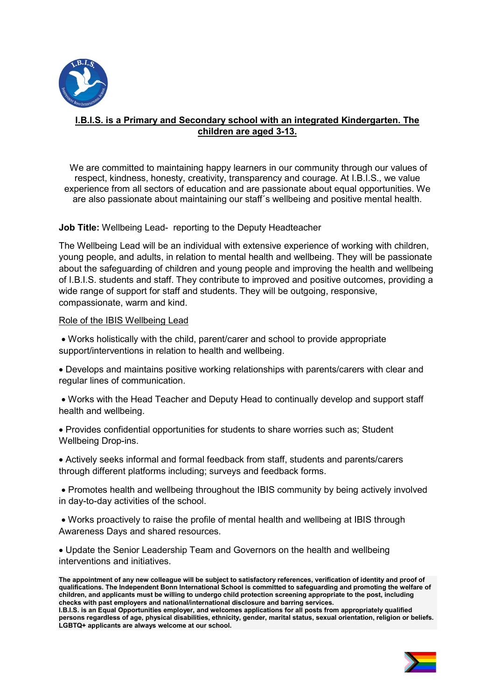

# I.B.I.S. is a Primary and Secondary school with an integrated Kindergarten. The children are aged 3-13.

 We are committed to maintaining happy learners in our community through our values of respect, kindness, honesty, creativity, transparency and courage. At I.B.I.S., we value experience from all sectors of education and are passionate about equal opportunities. We are also passionate about maintaining our staff´s wellbeing and positive mental health.

#### Job Title: Wellbeing Lead- reporting to the Deputy Headteacher

The Wellbeing Lead will be an individual with extensive experience of working with children, young people, and adults, in relation to mental health and wellbeing. They will be passionate about the safeguarding of children and young people and improving the health and wellbeing of I.B.I.S. students and staff. They contribute to improved and positive outcomes, providing a wide range of support for staff and students. They will be outgoing, responsive, compassionate, warm and kind.

#### Role of the IBIS Wellbeing Lead

 Works holistically with the child, parent/carer and school to provide appropriate support/interventions in relation to health and wellbeing.

 Develops and maintains positive working relationships with parents/carers with clear and regular lines of communication.

 Works with the Head Teacher and Deputy Head to continually develop and support staff health and wellbeing.

 Provides confidential opportunities for students to share worries such as; Student Wellbeing Drop-ins.

 Actively seeks informal and formal feedback from staff, students and parents/carers through different platforms including; surveys and feedback forms.

 Promotes health and wellbeing throughout the IBIS community by being actively involved in day-to-day activities of the school.

 Works proactively to raise the profile of mental health and wellbeing at IBIS through Awareness Days and shared resources.

 Update the Senior Leadership Team and Governors on the health and wellbeing interventions and initiatives.

The appointment of any new colleague will be subject to satisfactory references, verification of identity and proof of qualifications. The Independent Bonn International School is committed to safeguarding and promoting the welfare of children, and applicants must be willing to undergo child protection screening appropriate to the post, including checks with past employers and national/international disclosure and barring services.

I.B.I.S. is an Equal Opportunities employer, and welcomes applications for all posts from appropriately qualified persons regardless of age, physical disabilities, ethnicity, gender, marital status, sexual orientation, religion or beliefs. LGBTQ+ applicants are always welcome at our school.

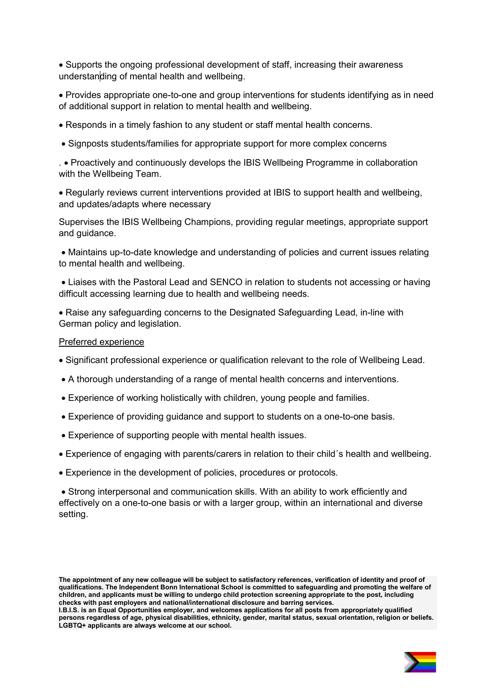Supports the ongoing professional development of staff, increasing their awareness understanding of mental health and wellbeing.

 Provides appropriate one-to-one and group interventions for students identifying as in need of additional support in relation to mental health and wellbeing.

Responds in a timely fashion to any student or staff mental health concerns.

Signposts students/families for appropriate support for more complex concerns

. Proactively and continuously develops the IBIS Wellbeing Programme in collaboration with the Wellbeing Team.

 Regularly reviews current interventions provided at IBIS to support health and wellbeing, and updates/adapts where necessary

Supervises the IBIS Wellbeing Champions, providing regular meetings, appropriate support and guidance.

 Maintains up-to-date knowledge and understanding of policies and current issues relating to mental health and wellbeing.

 Liaises with the Pastoral Lead and SENCO in relation to students not accessing or having difficult accessing learning due to health and wellbeing needs.

 Raise any safeguarding concerns to the Designated Safeguarding Lead, in-line with German policy and legislation.

#### Preferred experience

- Significant professional experience or qualification relevant to the role of Wellbeing Lead.
- A thorough understanding of a range of mental health concerns and interventions.
- Experience of working holistically with children, young people and families.
- Experience of providing guidance and support to students on a one-to-one basis.
- Experience of supporting people with mental health issues.
- Experience of engaging with parents/carers in relation to their child´s health and wellbeing.
- Experience in the development of policies, procedures or protocols.

 Strong interpersonal and communication skills. With an ability to work efficiently and effectively on a one-to-one basis or with a larger group, within an international and diverse setting.

I.B.I.S. is an Equal Opportunities employer, and welcomes applications for all posts from appropriately qualified persons regardless of age, physical disabilities, ethnicity, gender, marital status, sexual orientation, religion or beliefs. LGBTQ+ applicants are always welcome at our school.



The appointment of any new colleague will be subject to satisfactory references, verification of identity and proof of qualifications. The Independent Bonn International School is committed to safeguarding and promoting the welfare of children, and applicants must be willing to undergo child protection screening appropriate to the post, including checks with past employers and national/international disclosure and barring services.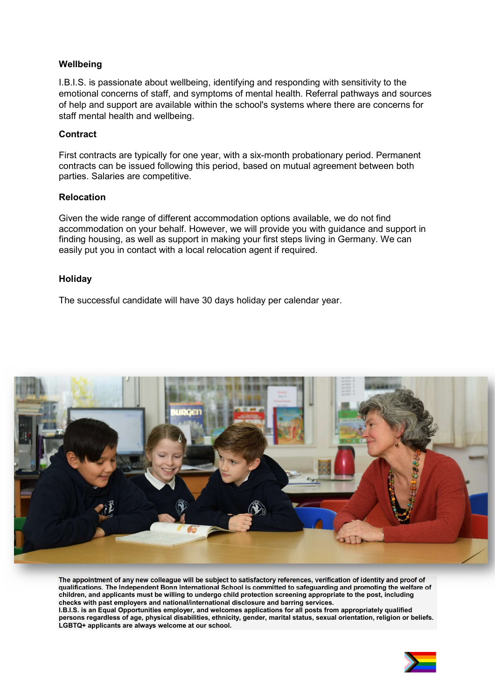## **Wellbeing**

I.B.I.S. is passionate about wellbeing, identifying and responding with sensitivity to the emotional concerns of staff, and symptoms of mental health. Referral pathways and sources of help and support are available within the school's systems where there are concerns for staff mental health and wellbeing.

## **Contract**

First contracts are typically for one year, with a six-month probationary period. Permanent contracts can be issued following this period, based on mutual agreement between both parties. Salaries are competitive.

#### Relocation

Given the wide range of different accommodation options available, we do not find accommodation on your behalf. However, we will provide you with guidance and support in finding housing, as well as support in making your first steps living in Germany. We can easily put you in contact with a local relocation agent if required.

#### Holiday

The successful candidate will have 30 days holiday per calendar year.



The appointment of any new colleague will be subject to satisfactory references, verification of identity and proof of qualifications. The Independent Bonn International School is committed to safeguarding and promoting the welfare of children, and applicants must be willing to undergo child protection screening appropriate to the post, including checks with past employers and national/international disclosure and barring services. I.B.I.S. is an Equal Opportunities employer, and welcomes applications for all posts from appropriately qualified persons regardless of age, physical disabilities, ethnicity, gender, marital status, sexual orientation, religion or beliefs. LGBTQ+ applicants are always welcome at our school.